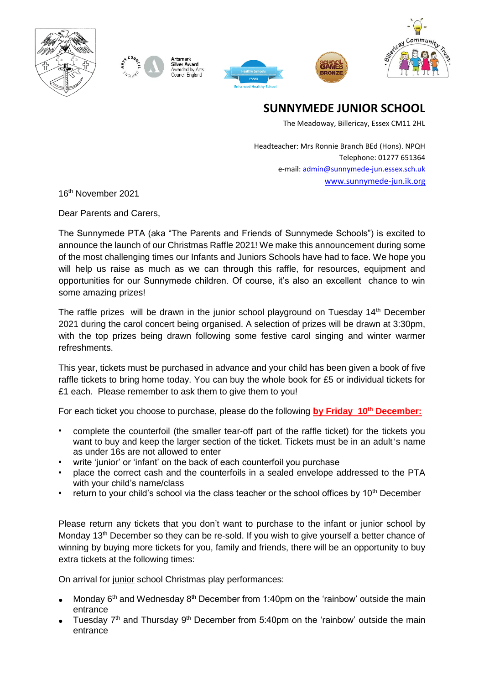







**SUNNYMEDE JUNIOR SCHOOL**

The Meadoway, Billericay, Essex CM11 2HL

Headteacher: Mrs Ronnie Branch BEd (Hons). NPQH Telephone: 01277 651364 e-mail[: admin@sunnymede-jun.essex.sch.uk](mailto:admin@sunnymede-jun.essex.sch.uk) [www.sunnymede-jun.ik.org](http://www.sunnymede-jun.ik.org/)

16th November 2021

Dear Parents and Carers,

The Sunnymede PTA (aka "The Parents and Friends of Sunnymede Schools") is excited to announce the launch of our Christmas Raffle 2021! We make this announcement during some of the most challenging times our Infants and Juniors Schools have had to face. We hope you will help us raise as much as we can through this raffle, for resources, equipment and opportunities for our Sunnymede children. Of course, it's also an excellent chance to win some amazing prizes!

The raffle prizes will be drawn in the junior school playground on Tuesday 14<sup>th</sup> December 2021 during the carol concert being organised. A selection of prizes will be drawn at 3:30pm, with the top prizes being drawn following some festive carol singing and winter warmer refreshments.

This year, tickets must be purchased in advance and your child has been given a book of five raffle tickets to bring home today. You can buy the whole book for £5 or individual tickets for £1 each. Please remember to ask them to give them to you!

For each ticket you choose to purchase, please do the following **by Friday 10th December:**

- complete the counterfoil (the smaller tear-off part of the raffle ticket) for the tickets you want to buy and keep the larger section of the ticket. Tickets must be in an adult's name as under 16s are not allowed to enter
- write 'junior' or 'infant' on the back of each counterfoil you purchase
- place the correct cash and the counterfoils in a sealed envelope addressed to the PTA with your child's name/class
- return to your child's school via the class teacher or the school offices by 10<sup>th</sup> December

Please return any tickets that you don't want to purchase to the infant or junior school by Monday 13<sup>th</sup> December so they can be re-sold. If you wish to give yourself a better chance of winning by buying more tickets for you, family and friends, there will be an opportunity to buy extra tickets at the following times:

On arrival for junior school Christmas play performances:

- Monday  $6<sup>th</sup>$  and Wednesday  $8<sup>th</sup>$  December from 1:40pm on the 'rainbow' outside the main entrance
- Tuesday  $7<sup>th</sup>$  and Thursday  $9<sup>th</sup>$  December from 5:40pm on the 'rainbow' outside the main entrance